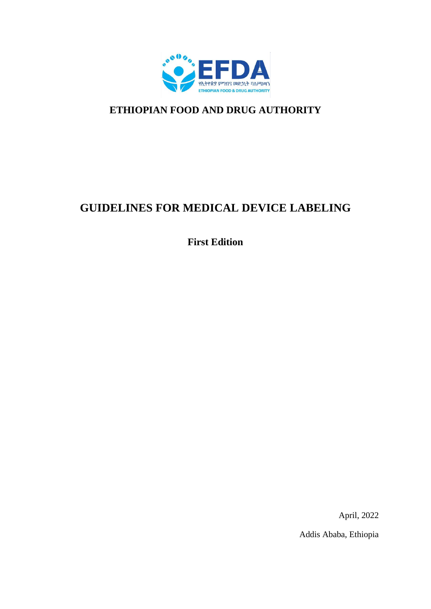

# **ETHIOPIAN FOOD AND DRUG AUTHORITY**

# **GUIDELINES FOR MEDICAL DEVICE LABELING**

**First Edition** 

April, 2022

Addis Ababa, Ethiopia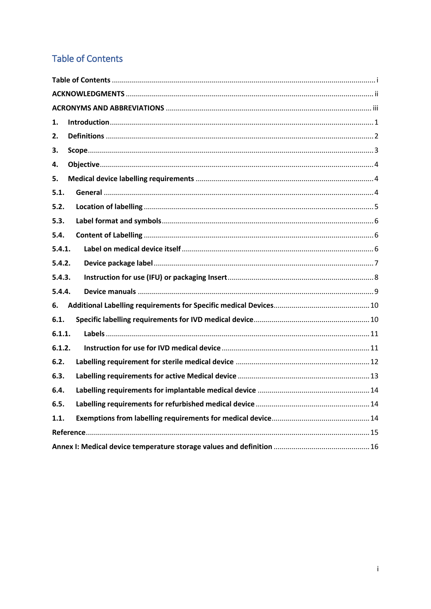## <span id="page-1-0"></span>**Table of Contents**

| 1.     |  |  |  |  |
|--------|--|--|--|--|
| 2.     |  |  |  |  |
| 3.     |  |  |  |  |
| 4.     |  |  |  |  |
| 5.     |  |  |  |  |
| 5.1.   |  |  |  |  |
| 5.2.   |  |  |  |  |
| 5.3.   |  |  |  |  |
| 5.4.   |  |  |  |  |
| 5.4.1. |  |  |  |  |
| 5.4.2. |  |  |  |  |
| 5.4.3. |  |  |  |  |
| 5.4.4. |  |  |  |  |
| 6.     |  |  |  |  |
| 6.1.   |  |  |  |  |
| 6.1.1. |  |  |  |  |
| 6.1.2. |  |  |  |  |
| 6.2.   |  |  |  |  |
| 6.3.   |  |  |  |  |
| 6.4.   |  |  |  |  |
| 6.5.   |  |  |  |  |
| 1.1.   |  |  |  |  |
|        |  |  |  |  |
|        |  |  |  |  |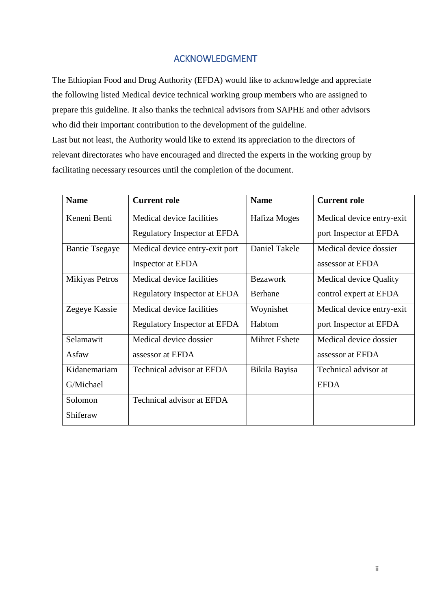## ACKNOWLEDGMENT

<span id="page-2-0"></span>The Ethiopian Food and Drug Authority (EFDA) would like to acknowledge and appreciate the following listed Medical device technical working group members who are assigned to prepare this guideline. It also thanks the technical advisors from SAPHE and other advisors who did their important contribution to the development of the guideline. Last but not least, the Authority would like to extend its appreciation to the directors of relevant directorates who have encouraged and directed the experts in the working group by facilitating necessary resources until the completion of the document.

| <b>Name</b>           | <b>Current role</b>              | <b>Name</b>     | <b>Current role</b>           |
|-----------------------|----------------------------------|-----------------|-------------------------------|
| Keneni Benti          | Medical device facilities        | Hafiza Moges    | Medical device entry-exit     |
|                       | Regulatory Inspector at EFDA     |                 | port Inspector at EFDA        |
| <b>Bantie Tsegaye</b> | Medical device entry-exit port   | Daniel Takele   | Medical device dossier        |
|                       | Inspector at EFDA                |                 | assessor at EFDA              |
| Mikiyas Petros        | Medical device facilities        | <b>Bezawork</b> | <b>Medical device Quality</b> |
|                       | Regulatory Inspector at EFDA     | <b>Berhane</b>  | control expert at EFDA        |
| Zegeye Kassie         | Medical device facilities        | Woynishet       | Medical device entry-exit     |
|                       | Regulatory Inspector at EFDA     | Habtom          | port Inspector at EFDA        |
| Selamawit             | Medical device dossier           | Mihret Eshete   | Medical device dossier        |
| Asfaw                 | assessor at EFDA                 |                 | assessor at EFDA              |
| Kidanemariam          | Technical advisor at EFDA        | Bikila Bayisa   | Technical advisor at          |
| G/Michael             |                                  |                 | <b>EFDA</b>                   |
| Solomon               | <b>Technical advisor at EFDA</b> |                 |                               |
| Shiferaw              |                                  |                 |                               |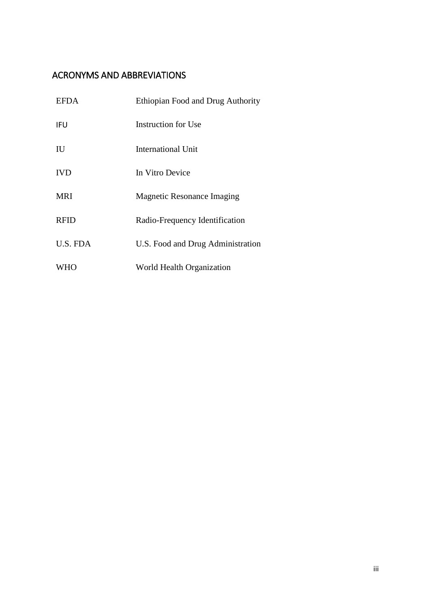## <span id="page-3-0"></span>ACRONYMS AND ABBREVIATIONS

| <b>EFDA</b> | Ethiopian Food and Drug Authority |
|-------------|-----------------------------------|
| IFU         | Instruction for Use               |
| IU          | International Unit                |
| <b>IVD</b>  | In Vitro Device                   |
| <b>MRI</b>  | <b>Magnetic Resonance Imaging</b> |
| <b>RFID</b> | Radio-Frequency Identification    |
| U.S. FDA    | U.S. Food and Drug Administration |
| <b>WHO</b>  | World Health Organization         |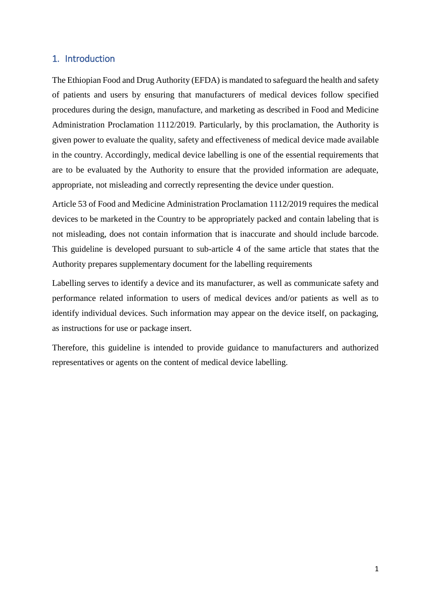#### <span id="page-4-0"></span>1. Introduction

The Ethiopian Food and Drug Authority (EFDA) is mandated to safeguard the health and safety of patients and users by ensuring that manufacturers of medical devices follow specified procedures during the design, manufacture, and marketing as described in Food and Medicine Administration Proclamation 1112/2019. Particularly, by this proclamation, the Authority is given power to evaluate the quality, safety and effectiveness of medical device made available in the country. Accordingly, medical device labelling is one of the essential requirements that are to be evaluated by the Authority to ensure that the provided information are adequate, appropriate, not misleading and correctly representing the device under question.

Article 53 of Food and Medicine Administration Proclamation 1112/2019 requires the medical devices to be marketed in the Country to be appropriately packed and contain labeling that is not misleading, does not contain information that is inaccurate and should include barcode. This guideline is developed pursuant to sub-article 4 of the same article that states that the Authority prepares supplementary document for the labelling requirements

Labelling serves to identify a device and its manufacturer, as well as communicate safety and performance related information to users of medical devices and/or patients as well as to identify individual devices. Such information may appear on the device itself, on packaging, as instructions for use or package insert.

Therefore, this guideline is intended to provide guidance to manufacturers and authorized representatives or agents on the content of medical device labelling.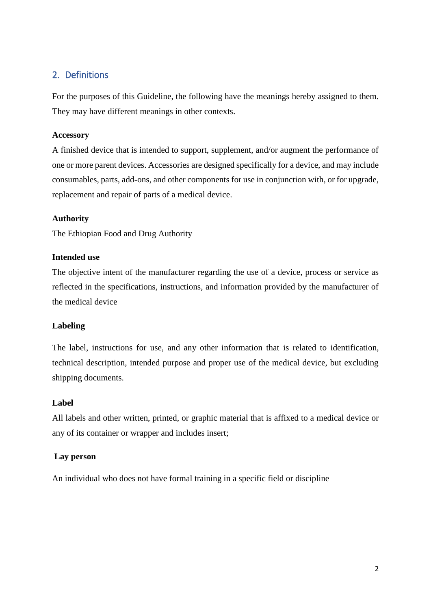## <span id="page-5-0"></span>2. Definitions

For the purposes of this Guideline, the following have the meanings hereby assigned to them. They may have different meanings in other contexts.

#### **Accessory**

A finished device that is intended to support, supplement, and/or augment the performance of one or more parent devices. Accessories are designed specifically for a device, and may include consumables, parts, add-ons, and other components for use in conjunction with, or for upgrade, replacement and repair of parts of a medical device.

#### **Authority**

The Ethiopian Food and Drug Authority

#### **Intended use**

The objective intent of the manufacturer regarding the use of a device, process or service as reflected in the specifications, instructions, and information provided by the manufacturer of the medical device

#### **Labeling**

The label, instructions for use, and any other information that is related to identification, technical description, intended purpose and proper use of the medical device, but excluding shipping documents.

#### **Label**

All labels and other written, printed, or graphic material that is affixed to a medical device or any of its container or wrapper and includes insert;

#### **Lay person**

An individual who does not have formal training in a specific field or discipline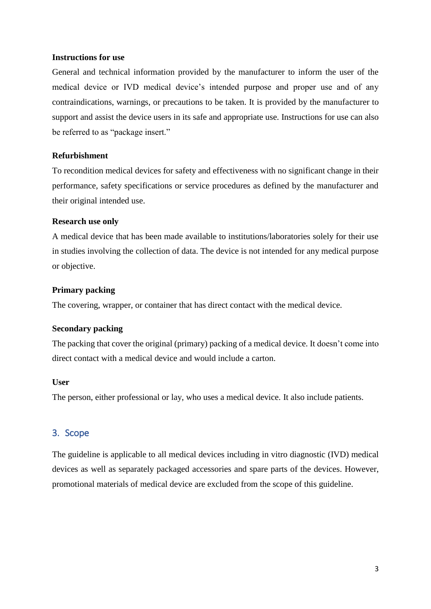#### **Instructions for use**

General and technical information provided by the manufacturer to inform the user of the medical device or IVD medical device's intended purpose and proper use and of any contraindications, warnings, or precautions to be taken. It is provided by the manufacturer to support and assist the device users in its safe and appropriate use. Instructions for use can also be referred to as "package insert."

#### **Refurbishment**

To recondition medical devices for safety and effectiveness with no significant change in their performance, safety specifications or service procedures as defined by the manufacturer and their original intended use.

#### **Research use only**

A medical device that has been made available to institutions/laboratories solely for their use in studies involving the collection of data. The device is not intended for any medical purpose or objective.

#### **Primary packing**

The covering, wrapper, or container that has direct contact with the medical device.

#### **Secondary packing**

The packing that cover the original (primary) packing of a medical device. It doesn't come into direct contact with a medical device and would include a carton.

#### **User**

The person, either professional or lay, who uses a medical device. It also include patients.

#### <span id="page-6-0"></span>3. Scope

The guideline is applicable to all medical devices including in vitro diagnostic (IVD) medical devices as well as separately packaged accessories and spare parts of the devices. However, promotional materials of medical device are excluded from the scope of this guideline.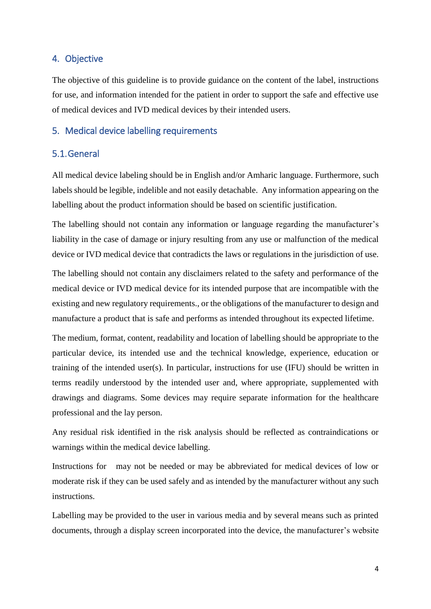#### <span id="page-7-0"></span>4. Objective

The objective of this guideline is to provide guidance on the content of the label, instructions for use, and information intended for the patient in order to support the safe and effective use of medical devices and IVD medical devices by their intended users.

#### <span id="page-7-1"></span>5. Medical device labelling requirements

#### <span id="page-7-2"></span>5.1.General

All medical device labeling should be in English and/or Amharic language. Furthermore, such labels should be legible, indelible and not easily detachable. Any information appearing on the labelling about the product information should be based on scientific justification.

The labelling should not contain any information or language regarding the manufacturer's liability in the case of damage or injury resulting from any use or malfunction of the medical device or IVD medical device that contradicts the laws or regulations in the jurisdiction of use.

The labelling should not contain any disclaimers related to the safety and performance of the medical device or IVD medical device for its intended purpose that are incompatible with the existing and new regulatory requirements., or the obligations of the manufacturer to design and manufacture a product that is safe and performs as intended throughout its expected lifetime.

The medium, format, content, readability and location of labelling should be appropriate to the particular device, its intended use and the technical knowledge, experience, education or training of the intended user(s). In particular, instructions for use (IFU) should be written in terms readily understood by the intended user and, where appropriate, supplemented with drawings and diagrams. Some devices may require separate information for the healthcare professional and the lay person.

Any residual risk identified in the risk analysis should be reflected as contraindications or warnings within the medical device labelling.

Instructions for may not be needed or may be abbreviated for medical devices of low or moderate risk if they can be used safely and as intended by the manufacturer without any such instructions.

Labelling may be provided to the user in various media and by several means such as printed documents, through a display screen incorporated into the device, the manufacturer's website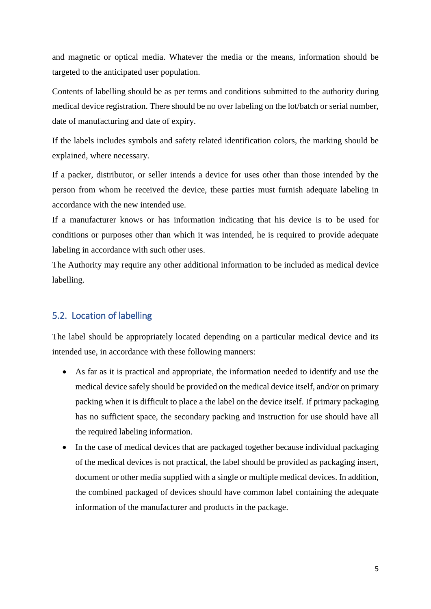and magnetic or optical media. Whatever the media or the means, information should be targeted to the anticipated user population.

Contents of labelling should be as per terms and conditions submitted to the authority during medical device registration. There should be no over labeling on the lot/batch or serial number, date of manufacturing and date of expiry.

If the labels includes symbols and safety related identification colors, the marking should be explained, where necessary.

If a packer, distributor, or seller intends a device for uses other than those intended by the person from whom he received the device, these parties must furnish adequate labeling in accordance with the new intended use.

If a manufacturer knows or has information indicating that his device is to be used for conditions or purposes other than which it was intended, he is required to provide adequate labeling in accordance with such other uses.

The Authority may require any other additional information to be included as medical device labelling.

## <span id="page-8-0"></span>5.2. Location of labelling

The label should be appropriately located depending on a particular medical device and its intended use, in accordance with these following manners:

- As far as it is practical and appropriate, the information needed to identify and use the medical device safely should be provided on the medical device itself, and/or on primary packing when it is difficult to place a the label on the device itself. If primary packaging has no sufficient space, the secondary packing and instruction for use should have all the required labeling information.
- In the case of medical devices that are packaged together because individual packaging of the medical devices is not practical, the label should be provided as packaging insert, document or other media supplied with a single or multiple medical devices. In addition, the combined packaged of devices should have common label containing the adequate information of the manufacturer and products in the package.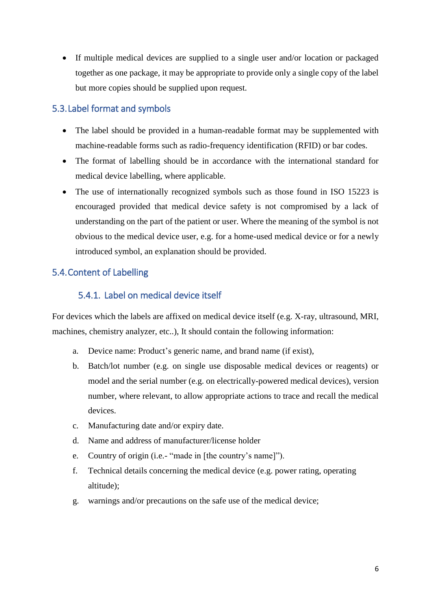If multiple medical devices are supplied to a single user and/or location or packaged together as one package, it may be appropriate to provide only a single copy of the label but more copies should be supplied upon request.

## <span id="page-9-0"></span>5.3.Label format and symbols

- The label should be provided in a human-readable format may be supplemented with machine-readable forms such as radio-frequency identification (RFID) or bar codes.
- The format of labelling should be in accordance with the international standard for medical device labelling, where applicable.
- The use of internationally recognized symbols such as those found in ISO 15223 is encouraged provided that medical device safety is not compromised by a lack of understanding on the part of the patient or user. Where the meaning of the symbol is not obvious to the medical device user, e.g. for a home-used medical device or for a newly introduced symbol, an explanation should be provided.

## <span id="page-9-2"></span><span id="page-9-1"></span>5.4.Content of Labelling

## 5.4.1. Label on medical device itself

For devices which the labels are affixed on medical device itself (e.g. X-ray, ultrasound, MRI, machines, chemistry analyzer, etc..), It should contain the following information:

- a. Device name: Product's generic name, and brand name (if exist),
- b. Batch/lot number (e.g. on single use disposable medical devices or reagents) or model and the serial number (e.g. on electrically-powered medical devices), version number, where relevant, to allow appropriate actions to trace and recall the medical devices.
- c. Manufacturing date and/or expiry date.
- d. Name and address of manufacturer/license holder
- e. Country of origin (i.e.- "made in [the country's name]").
- f. Technical details concerning the medical device (e.g. power rating, operating altitude);
- g. warnings and/or precautions on the safe use of the medical device;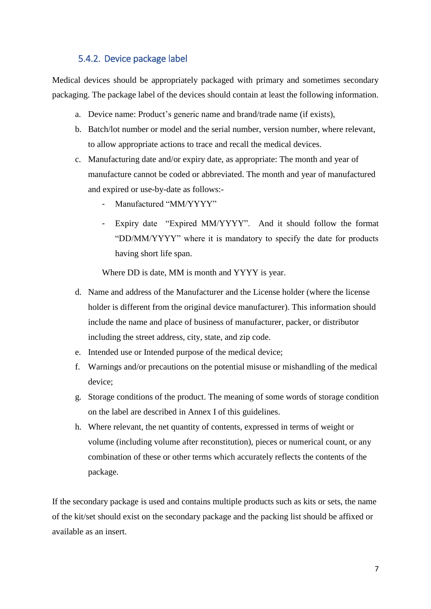## 5.4.2. Device package label

<span id="page-10-0"></span>Medical devices should be appropriately packaged with primary and sometimes secondary packaging. The package label of the devices should contain at least the following information.

- a. Device name: Product's generic name and brand/trade name (if exists),
- b. Batch/lot number or model and the serial number, version number, where relevant, to allow appropriate actions to trace and recall the medical devices.
- c. Manufacturing date and/or expiry date, as appropriate: The month and year of manufacture cannot be coded or abbreviated. The month and year of manufactured and expired or use-by-date as follows:-
	- Manufactured "MM/YYYY"
	- Expiry date "Expired MM/YYYY". And it should follow the format "DD/MM/YYYY" where it is mandatory to specify the date for products having short life span.

Where DD is date, MM is month and YYYY is year.

- d. Name and address of the Manufacturer and the License holder (where the license holder is different from the original device manufacturer). This information should include the name and place of business of manufacturer, packer, or distributor including the street address, city, state, and zip code.
- e. Intended use or Intended purpose of the medical device;
- f. Warnings and/or precautions on the potential misuse or mishandling of the medical device;
- g. Storage conditions of the product. The meaning of some words of storage condition on the label are described in Annex I of this guidelines.
- h. Where relevant, the net quantity of contents, expressed in terms of weight or volume (including volume after reconstitution), pieces or numerical count, or any combination of these or other terms which accurately reflects the contents of the package.

If the secondary package is used and contains multiple products such as kits or sets, the name of the kit/set should exist on the secondary package and the packing list should be affixed or available as an insert.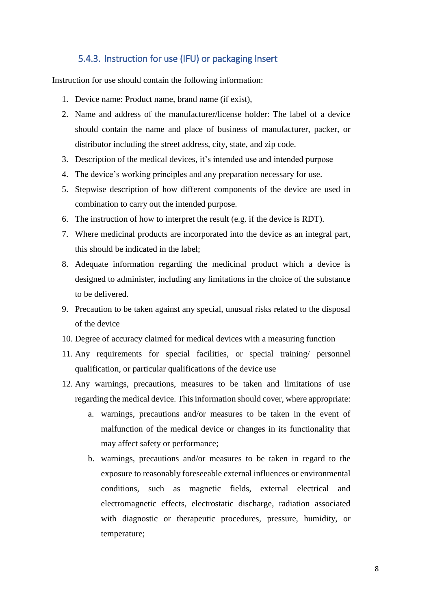### 5.4.3. Instruction for use (IFU) or packaging Insert

<span id="page-11-0"></span>Instruction for use should contain the following information:

- 1. Device name: Product name, brand name (if exist),
- 2. Name and address of the manufacturer/license holder: The label of a device should contain the name and place of business of manufacturer, packer, or distributor including the street address, city, state, and zip code.
- 3. Description of the medical devices, it's intended use and intended purpose
- 4. The device's working principles and any preparation necessary for use.
- 5. Stepwise description of how different components of the device are used in combination to carry out the intended purpose.
- 6. The instruction of how to interpret the result (e.g. if the device is RDT).
- 7. Where medicinal products are incorporated into the device as an integral part, this should be indicated in the label;
- 8. Adequate information regarding the medicinal product which a device is designed to administer, including any limitations in the choice of the substance to be delivered.
- 9. Precaution to be taken against any special, unusual risks related to the disposal of the device
- 10. Degree of accuracy claimed for medical devices with a measuring function
- 11. Any requirements for special facilities, or special training/ personnel qualification, or particular qualifications of the device use
- 12. Any warnings, precautions, measures to be taken and limitations of use regarding the medical device. This information should cover, where appropriate:
	- a. warnings, precautions and/or measures to be taken in the event of malfunction of the medical device or changes in its functionality that may affect safety or performance;
	- b. warnings, precautions and/or measures to be taken in regard to the exposure to reasonably foreseeable external influences or environmental conditions, such as magnetic fields, external electrical and electromagnetic effects, electrostatic discharge, radiation associated with diagnostic or therapeutic procedures, pressure, humidity, or temperature;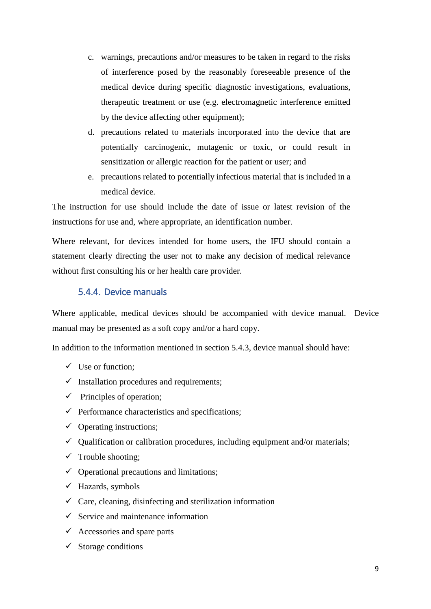- c. warnings, precautions and/or measures to be taken in regard to the risks of interference posed by the reasonably foreseeable presence of the medical device during specific diagnostic investigations, evaluations, therapeutic treatment or use (e.g. electromagnetic interference emitted by the device affecting other equipment);
- d. precautions related to materials incorporated into the device that are potentially carcinogenic, mutagenic or toxic, or could result in sensitization or allergic reaction for the patient or user; and
- e. precautions related to potentially infectious material that is included in a medical device.

The instruction for use should include the date of issue or latest revision of the instructions for use and, where appropriate, an identification number.

Where relevant, for devices intended for home users, the IFU should contain a statement clearly directing the user not to make any decision of medical relevance without first consulting his or her health care provider.

### 5.4.4. Device manuals

<span id="page-12-0"></span>Where applicable, medical devices should be accompanied with device manual. Device manual may be presented as a soft copy and/or a hard copy.

In addition to the information mentioned in section 5.4.3, device manual should have:

- $\checkmark$  Use or function;
- $\checkmark$  Installation procedures and requirements;
- $\checkmark$  Principles of operation;
- $\checkmark$  Performance characteristics and specifications;
- $\checkmark$  Operating instructions;
- $\checkmark$  Qualification or calibration procedures, including equipment and/or materials;
- $\checkmark$  Trouble shooting;
- $\checkmark$  Operational precautions and limitations;
- $\checkmark$  Hazards, symbols
- $\checkmark$  Care, cleaning, disinfecting and sterilization information
- $\checkmark$  Service and maintenance information
- $\checkmark$  Accessories and spare parts
- $\checkmark$  Storage conditions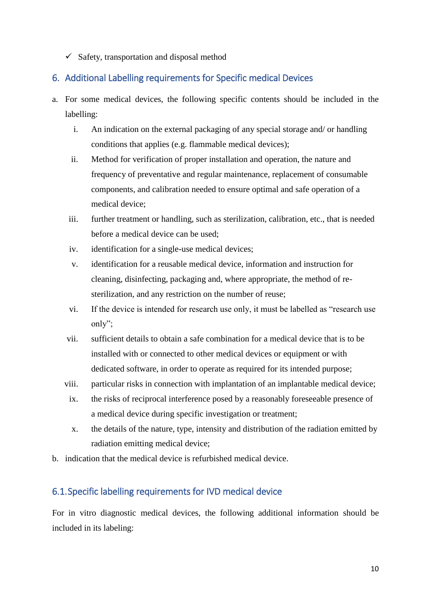$\checkmark$  Safety, transportation and disposal method

## <span id="page-13-0"></span>6. Additional Labelling requirements for Specific medical Devices

- a. For some medical devices, the following specific contents should be included in the labelling:
	- i. An indication on the external packaging of any special storage and/ or handling conditions that applies (e.g. flammable medical devices);
	- ii. Method for verification of proper installation and operation, the nature and frequency of preventative and regular maintenance, replacement of consumable components, and calibration needed to ensure optimal and safe operation of a medical device;
	- iii. further treatment or handling, such as sterilization, calibration, etc., that is needed before a medical device can be used;
	- iv. identification for a single-use medical devices;
	- v. identification for a reusable medical device, information and instruction for cleaning, disinfecting, packaging and, where appropriate, the method of resterilization, and any restriction on the number of reuse;
	- vi. If the device is intended for research use only, it must be labelled as "research use only";
	- vii. sufficient details to obtain a safe combination for a medical device that is to be installed with or connected to other medical devices or equipment or with dedicated software, in order to operate as required for its intended purpose;
	- viii. particular risks in connection with implantation of an implantable medical device;
	- ix. the risks of reciprocal interference posed by a reasonably foreseeable presence of a medical device during specific investigation or treatment;
	- x. the details of the nature, type, intensity and distribution of the radiation emitted by radiation emitting medical device;
- b. indication that the medical device is refurbished medical device.

## <span id="page-13-1"></span>6.1.Specific labelling requirements for IVD medical device

For in vitro diagnostic medical devices, the following additional information should be included in its labeling: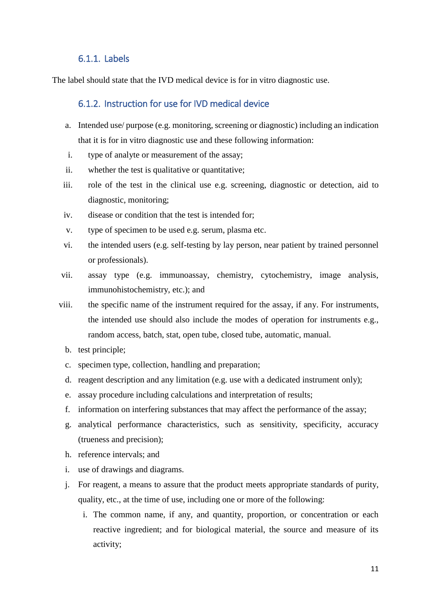#### 6.1.1. Labels

<span id="page-14-1"></span><span id="page-14-0"></span>The label should state that the IVD medical device is for in vitro diagnostic use.

#### 6.1.2. Instruction for use for IVD medical device

- a. Intended use/ purpose (e.g. monitoring, screening or diagnostic) including an indication that it is for in vitro diagnostic use and these following information:
- i. type of analyte or measurement of the assay;
- ii. whether the test is qualitative or quantitative;
- iii. role of the test in the clinical use e.g. screening, diagnostic or detection, aid to diagnostic, monitoring;
- iv. disease or condition that the test is intended for;
- v. type of specimen to be used e.g. serum, plasma etc.
- vi. the intended users (e.g. self-testing by lay person, near patient by trained personnel or professionals).
- vii. assay type (e.g. immunoassay, chemistry, cytochemistry, image analysis, immunohistochemistry, etc.); and
- viii. the specific name of the instrument required for the assay, if any. For instruments, the intended use should also include the modes of operation for instruments e.g., random access, batch, stat, open tube, closed tube, automatic, manual.
	- b. test principle;
	- c. specimen type, collection, handling and preparation;
	- d. reagent description and any limitation (e.g. use with a dedicated instrument only);
	- e. assay procedure including calculations and interpretation of results;
	- f. information on interfering substances that may affect the performance of the assay;
	- g. analytical performance characteristics, such as sensitivity, specificity, accuracy (trueness and precision);
	- h. reference intervals; and
	- i. use of drawings and diagrams.
	- j. For reagent, a means to assure that the product meets appropriate standards of purity, quality, etc., at the time of use, including one or more of the following:
		- i. The common name, if any, and quantity, proportion, or concentration or each reactive ingredient; and for biological material, the source and measure of its activity;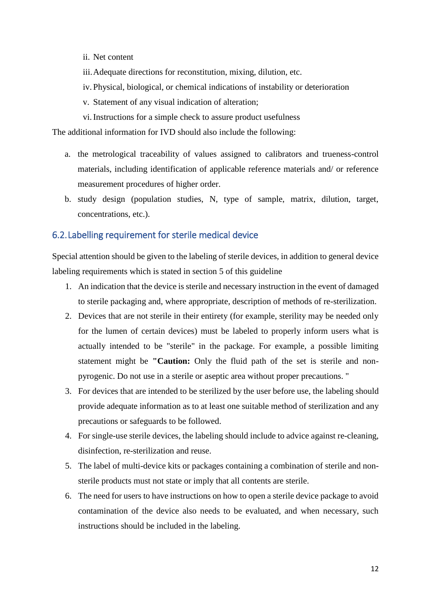- ii. Net content
- iii.Adequate directions for reconstitution, mixing, dilution, etc.
- iv. Physical, biological, or chemical indications of instability or deterioration
- v. Statement of any visual indication of alteration;
- vi.Instructions for a simple check to assure product usefulness

The additional information for IVD should also include the following:

- a. the metrological traceability of values assigned to calibrators and trueness-control materials, including identification of applicable reference materials and/ or reference measurement procedures of higher order.
- b. study design (population studies, N, type of sample, matrix, dilution, target, concentrations, etc.).

#### <span id="page-15-0"></span>6.2.Labelling requirement for sterile medical device

Special attention should be given to the labeling of sterile devices, in addition to general device labeling requirements which is stated in section 5 of this guideline

- 1. An indication that the device is sterile and necessary instruction in the event of damaged to sterile packaging and, where appropriate, description of methods of re-sterilization.
- 2. Devices that are not sterile in their entirety (for example, sterility may be needed only for the lumen of certain devices) must be labeled to properly inform users what is actually intended to be "sterile" in the package. For example, a possible limiting statement might be **"Caution:** Only the fluid path of the set is sterile and nonpyrogenic. Do not use in a sterile or aseptic area without proper precautions. "
- 3. For devices that are intended to be sterilized by the user before use, the labeling should provide adequate information as to at least one suitable method of sterilization and any precautions or safeguards to be followed.
- 4. For single-use sterile devices, the labeling should include to advice against re-cleaning, disinfection, re-sterilization and reuse.
- 5. The label of multi-device kits or packages containing a combination of sterile and nonsterile products must not state or imply that all contents are sterile.
- 6. The need for users to have instructions on how to open a sterile device package to avoid contamination of the device also needs to be evaluated, and when necessary, such instructions should be included in the labeling.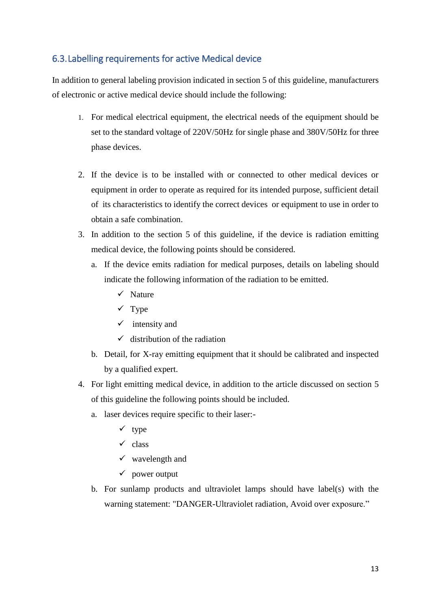## <span id="page-16-0"></span>6.3.Labelling requirements for active Medical device

In addition to general labeling provision indicated in section 5 of this guideline, manufacturers of electronic or active medical device should include the following:

- 1. For medical electrical equipment, the electrical needs of the equipment should be set to the standard voltage of 220V/50Hz for single phase and 380V/50Hz for three phase devices.
- 2. If the device is to be installed with or connected to other medical devices or equipment in order to operate as required for its intended purpose, sufficient detail of its characteristics to identify the correct devices or equipment to use in order to obtain a safe combination.
- 3. In addition to the section 5 of this guideline, if the device is radiation emitting medical device, the following points should be considered.
	- a. If the device emits radiation for medical purposes, details on labeling should indicate the following information of the radiation to be emitted.
		- $\checkmark$  Nature
		- $\checkmark$  Type
		- $\checkmark$  intensity and
		- $\checkmark$  distribution of the radiation
	- b. Detail, for X-ray emitting equipment that it should be calibrated and inspected by a qualified expert.
- 4. For light emitting medical device, in addition to the article discussed on section 5 of this guideline the following points should be included.
	- a. laser devices require specific to their laser:-
		- $\checkmark$  type
		- $\checkmark$  class
		- $\checkmark$  wavelength and
		- $\checkmark$  power output
	- b. For sunlamp products and ultraviolet lamps should have label(s) with the warning statement: "DANGER-Ultraviolet radiation, Avoid over exposure."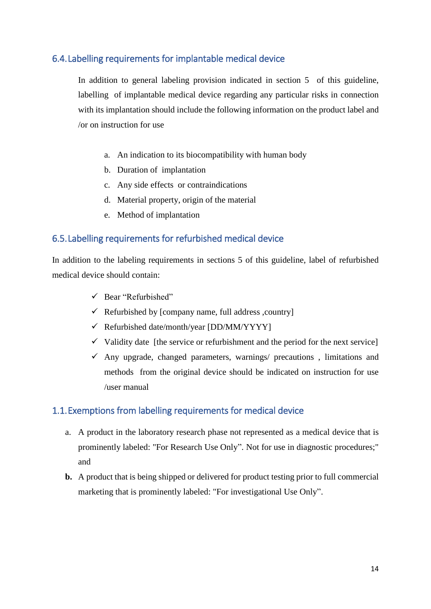## <span id="page-17-0"></span>6.4.Labelling requirements for implantable medical device

In addition to general labeling provision indicated in section 5 of this guideline, labelling of implantable medical device regarding any particular risks in connection with its implantation should include the following information on the product label and /or on instruction for use

- a. An indication to its biocompatibility with human body
- b. Duration of implantation
- c. Any side effects or contraindications
- d. Material property, origin of the material
- e. Method of implantation

## <span id="page-17-1"></span>6.5.Labelling requirements for refurbished medical device

In addition to the labeling requirements in sections 5 of this guideline, label of refurbished medical device should contain:

- $\checkmark$  Bear "Refurbished"
- $\checkmark$  Refurbished by [company name, full address, country]
- Refurbished date/month/year [DD/MM/YYYY]
- $\checkmark$  Validity date [the service or refurbishment and the period for the next service]
- $\checkmark$  Any upgrade, changed parameters, warnings/ precautions, limitations and methods from the original device should be indicated on instruction for use /user manual

#### <span id="page-17-2"></span>1.1.Exemptions from labelling requirements for medical device

- a. A product in the laboratory research phase not represented as a medical device that is prominently labeled: "For Research Use Only". Not for use in diagnostic procedures;" and
- **b.** A product that is being shipped or delivered for product testing prior to full commercial marketing that is prominently labeled: "For investigational Use Only".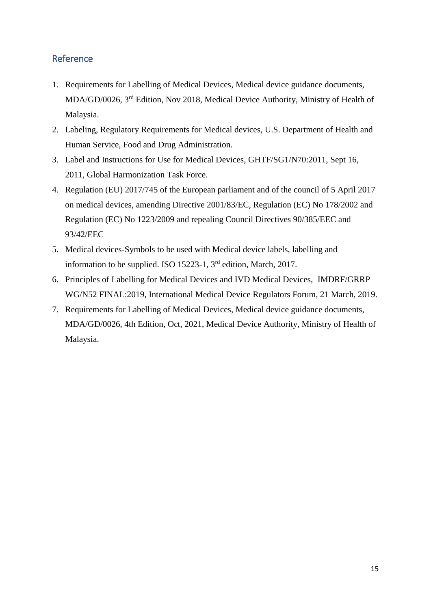## <span id="page-18-0"></span>Reference

- 1. Requirements for Labelling of Medical Devices, Medical device guidance documents, MDA/GD/0026, 3rd Edition, Nov 2018, Medical Device Authority, Ministry of Health of Malaysia.
- 2. Labeling, Regulatory Requirements for Medical devices, U.S. Department of Health and Human Service, Food and Drug Administration.
- 3. Label and Instructions for Use for Medical Devices, GHTF/SG1/N70:2011, Sept 16, 2011, Global Harmonization Task Force.
- 4. Regulation (EU) 2017/745 of the European parliament and of the council of 5 April 2017 on medical devices, amending Directive 2001/83/EC, Regulation (EC) No 178/2002 and Regulation (EC) No 1223/2009 and repealing Council Directives 90/385/EEC and 93/42/EEC
- 5. Medical devices-Symbols to be used with Medical device labels, labelling and information to be supplied. ISO 15223-1, 3rd edition, March, 2017.
- 6. Principles of Labelling for Medical Devices and IVD Medical Devices, IMDRF/GRRP WG/N52 FINAL:2019, International Medical Device Regulators Forum, 21 March, 2019.
- 7. Requirements for Labelling of Medical Devices, Medical device guidance documents, MDA/GD/0026, 4th Edition, Oct, 2021, Medical Device Authority, Ministry of Health of Malaysia.